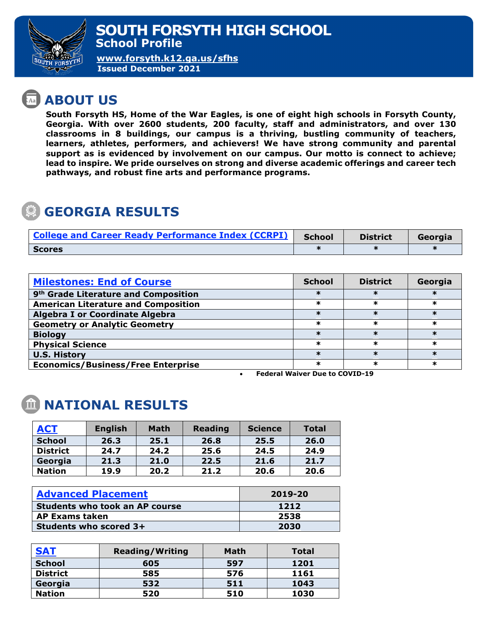

**[www.forsyth.k12.ga.us/sfhs](http://www.forsyth.k12.ga.us/sfhs) Issued December 2021**

## **ABOUT US**

**South Forsyth HS, Home of the War Eagles, is one of eight high schools in Forsyth County, Georgia. With over 2600 students, 200 faculty, staff and administrators, and over 130 classrooms in 8 buildings, our campus is a thriving, bustling community of teachers, learners, athletes, performers, and achievers! We have strong community and parental support as is evidenced by involvement on our campus. Our motto is connect to achieve; lead to inspire. We pride ourselves on strong and diverse academic offerings and career tech pathways, and robust fine arts and performance programs.** 

## **GEORGIA RESULTS**

| <b>College and Career Ready Performance Index (CCRPI)</b> | <b>School</b> | <b>District</b> | Georgia |
|-----------------------------------------------------------|---------------|-----------------|---------|
| Scores                                                    |               |                 |         |

| <b>Milestones: End of Course</b>                 | <b>School</b> | <b>District</b> | Georgia |
|--------------------------------------------------|---------------|-----------------|---------|
| 9 <sup>th</sup> Grade Literature and Composition |               |                 |         |
| <b>American Literature and Composition</b>       |               |                 |         |
| <b>Algebra I or Coordinate Algebra</b>           |               |                 |         |
| <b>Geometry or Analytic Geometry</b>             | ж             | ж               | ж       |
| <b>Biology</b>                                   |               |                 |         |
| <b>Physical Science</b>                          |               |                 |         |
| <b>U.S. History</b>                              |               |                 |         |
| <b>Economics/Business/Free Enterprise</b>        |               |                 |         |

• **Federal Waiver Due to COVID-19**

## **NATIONAL RESULTS**

| <b>ACT</b>      | <b>English</b> | <b>Math</b> | <b>Reading</b> | <b>Science</b> | <b>Total</b> |
|-----------------|----------------|-------------|----------------|----------------|--------------|
| <b>School</b>   | 26.3           | 25.1        | 26.8           | 25.5           | 26.0         |
| <b>District</b> | 24.7           | 24.2        | 25.6           | 24.5           | 24.9         |
| Georgia         | 21.3           | 21.0        | 22.5           | 21.6           | 21.7         |
| <b>Nation</b>   | 19.9           | 20.2        | 21.2           | 20.6           | 20.6         |

| <b>Advanced Placement</b>             | 2019-20 |  |
|---------------------------------------|---------|--|
| <b>Students who took an AP course</b> | 1212    |  |
| <b>AP Exams taken</b>                 | 2538    |  |
| Students who scored 3+                | 2030    |  |

| <b>SAT</b>      | <b>Reading/Writing</b> | Math | <b>Total</b> |
|-----------------|------------------------|------|--------------|
| <b>School</b>   | 605                    | 597  | 1201         |
| <b>District</b> | 585                    | 576  | 1161         |
| Georgia         | 532                    | 511  | 1043         |
| <b>Nation</b>   | 520                    | 510  | 1030         |